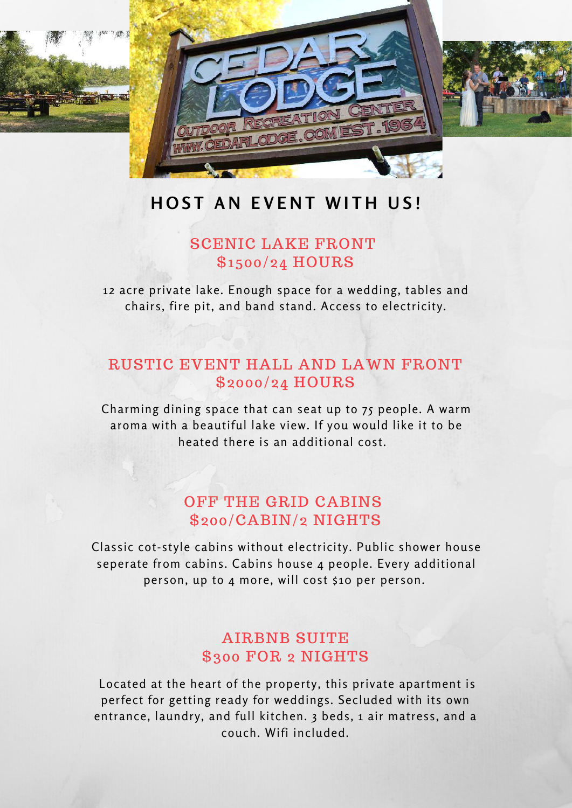

# **HOST AN EVENT WITH US!**

## SCENIC LAKE FRONT \$1500/24 HOURS

12 acre private lake. Enough space for a wedding, tables and chairs, fire pit, and band stand. Access to electricity.

# RUSTIC EVENT HALL AND LAWN FRONT \$2000/24 HOURS

Charming dining space that can seat up to 75 people. A warm aroma with a beautiful lake view. If you would like it to be heated there is an additional cost.

# OFF THE GRID CABINS \$200/CABIN/2 NIGHTS

Classic cot-style cabins without electricity. Public shower house seperate from cabins. Cabins house 4 people. Every additional person, up to 4 more, will cost \$10 per person.

# AIRBNB SUITE \$300 FOR 2 NIGHTS

 Located at the heart of the property, this private apartment is perfect for getting ready for weddings. Secluded with its own entrance, laundry, and full kitchen. 3 beds, 1 air matress, and a couch. Wifi included.